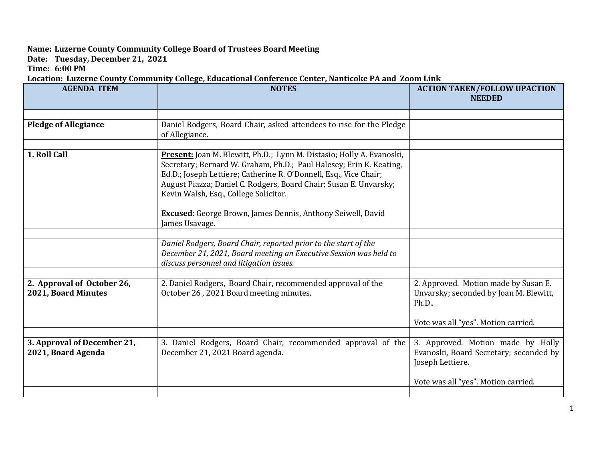## **Name: Luzerne County Community College Board of Trustees Board Meeting**

**Date: Tuesday, December 21, 2021**

**Time: 6:00 PM**

## **Location: Luzerne County Community College, Educational Conference Center, Nanticoke PA and Zoom Link**

| <b>AGENDA ITEM</b>                                | <b>NOTES</b>                                                                                                                                                                                                                                                                                                                                                                                                 | <b>ACTION TAKEN/FOLLOW UPACTION</b><br><b>NEEDED</b>                                            |
|---------------------------------------------------|--------------------------------------------------------------------------------------------------------------------------------------------------------------------------------------------------------------------------------------------------------------------------------------------------------------------------------------------------------------------------------------------------------------|-------------------------------------------------------------------------------------------------|
|                                                   |                                                                                                                                                                                                                                                                                                                                                                                                              |                                                                                                 |
|                                                   |                                                                                                                                                                                                                                                                                                                                                                                                              |                                                                                                 |
| <b>Pledge of Allegiance</b>                       | Daniel Rodgers, Board Chair, asked attendees to rise for the Pledge<br>of Allegiance.                                                                                                                                                                                                                                                                                                                        |                                                                                                 |
|                                                   |                                                                                                                                                                                                                                                                                                                                                                                                              |                                                                                                 |
| 1. Roll Call                                      | <b>Present:</b> Joan M. Blewitt, Ph.D.; Lynn M. Distasio; Holly A. Evanoski,<br>Secretary; Bernard W. Graham, Ph.D.; Paul Halesey; Erin K. Keating,<br>Ed.D.; Joseph Lettiere; Catherine R. O'Donnell, Esq., Vice Chair;<br>August Piazza; Daniel C. Rodgers, Board Chair; Susan E. Unvarsky;<br>Kevin Walsh, Esq., College Solicitor.<br><b>Excused:</b> George Brown, James Dennis, Anthony Seiwell, David |                                                                                                 |
|                                                   | James Usavage.                                                                                                                                                                                                                                                                                                                                                                                               |                                                                                                 |
|                                                   |                                                                                                                                                                                                                                                                                                                                                                                                              |                                                                                                 |
|                                                   | Daniel Rodgers, Board Chair, reported prior to the start of the<br>December 21, 2021, Board meeting an Executive Session was held to<br>discuss personnel and litigation issues.                                                                                                                                                                                                                             |                                                                                                 |
|                                                   |                                                                                                                                                                                                                                                                                                                                                                                                              |                                                                                                 |
| 2. Approval of October 26,<br>2021, Board Minutes | 2. Daniel Rodgers, Board Chair, recommended approval of the<br>October 26, 2021 Board meeting minutes.                                                                                                                                                                                                                                                                                                       | 2. Approved. Motion made by Susan E.<br>Unvarsky; seconded by Joan M. Blewitt,<br>Ph.D          |
|                                                   |                                                                                                                                                                                                                                                                                                                                                                                                              | Vote was all "yes". Motion carried.                                                             |
|                                                   |                                                                                                                                                                                                                                                                                                                                                                                                              |                                                                                                 |
| 3. Approval of December 21,<br>2021, Board Agenda | 3. Daniel Rodgers, Board Chair, recommended approval of the<br>December 21, 2021 Board agenda.                                                                                                                                                                                                                                                                                                               | 3. Approved. Motion made by Holly<br>Evanoski, Board Secretary; seconded by<br>Joseph Lettiere. |
|                                                   |                                                                                                                                                                                                                                                                                                                                                                                                              | Vote was all "yes". Motion carried.                                                             |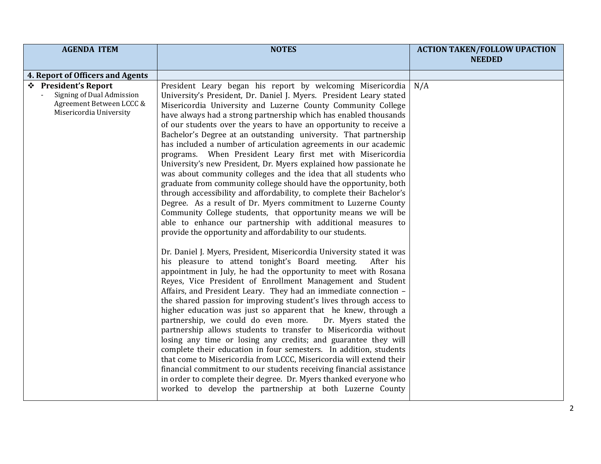| <b>AGENDA ITEM</b>                                                                                       | <b>NOTES</b>                                                                                                                                                                                                                                                                                                                                                                                                                                                                                                                                                                                                                                                                                                                                                                                                                                                                                                                                                                                                                                                                                                                                                                    | <b>ACTION TAKEN/FOLLOW UPACTION</b> |
|----------------------------------------------------------------------------------------------------------|---------------------------------------------------------------------------------------------------------------------------------------------------------------------------------------------------------------------------------------------------------------------------------------------------------------------------------------------------------------------------------------------------------------------------------------------------------------------------------------------------------------------------------------------------------------------------------------------------------------------------------------------------------------------------------------------------------------------------------------------------------------------------------------------------------------------------------------------------------------------------------------------------------------------------------------------------------------------------------------------------------------------------------------------------------------------------------------------------------------------------------------------------------------------------------|-------------------------------------|
|                                                                                                          |                                                                                                                                                                                                                                                                                                                                                                                                                                                                                                                                                                                                                                                                                                                                                                                                                                                                                                                                                                                                                                                                                                                                                                                 | <b>NEEDED</b>                       |
| 4. Report of Officers and Agents                                                                         |                                                                                                                                                                                                                                                                                                                                                                                                                                                                                                                                                                                                                                                                                                                                                                                                                                                                                                                                                                                                                                                                                                                                                                                 |                                     |
| ❖ President's Report<br>Signing of Dual Admission<br>Agreement Between LCCC &<br>Misericordia University | President Leary began his report by welcoming Misericordia<br>University's President, Dr. Daniel J. Myers. President Leary stated<br>Misericordia University and Luzerne County Community College<br>have always had a strong partnership which has enabled thousands<br>of our students over the years to have an opportunity to receive a<br>Bachelor's Degree at an outstanding university. That partnership<br>has included a number of articulation agreements in our academic<br>programs. When President Leary first met with Misericordia<br>University's new President, Dr. Myers explained how passionate he<br>was about community colleges and the idea that all students who<br>graduate from community college should have the opportunity, both<br>through accessibility and affordability, to complete their Bachelor's<br>Degree. As a result of Dr. Myers commitment to Luzerne County<br>Community College students, that opportunity means we will be<br>able to enhance our partnership with additional measures to<br>provide the opportunity and affordability to our students.<br>Dr. Daniel J. Myers, President, Misericordia University stated it was | N/A                                 |
|                                                                                                          | his pleasure to attend tonight's Board meeting.<br>After his<br>appointment in July, he had the opportunity to meet with Rosana<br>Reyes, Vice President of Enrollment Management and Student<br>Affairs, and President Leary. They had an immediate connection -<br>the shared passion for improving student's lives through access to<br>higher education was just so apparent that he knew, through a<br>partnership, we could do even more.<br>Dr. Myers stated the<br>partnership allows students to transfer to Misericordia without<br>losing any time or losing any credits; and guarantee they will<br>complete their education in four semesters. In addition, students<br>that come to Misericordia from LCCC, Misericordia will extend their<br>financial commitment to our students receiving financial assistance<br>in order to complete their degree. Dr. Myers thanked everyone who<br>worked to develop the partnership at both Luzerne County                                                                                                                                                                                                                |                                     |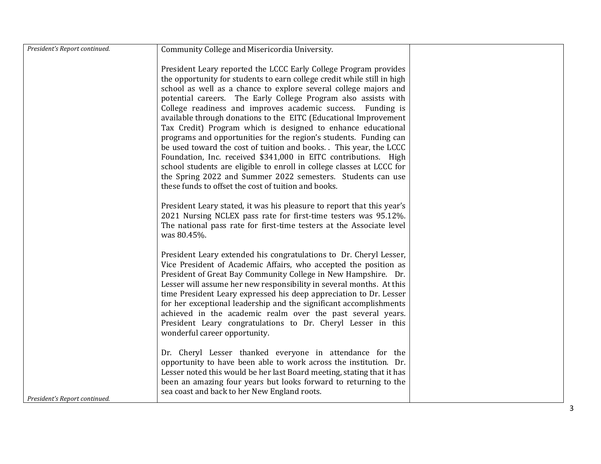| President's Report continued. | Community College and Misericordia University.                                                                                                                                                                                                                                                                                                                                                                                                                                                                                                                                                                                                                                                                                                                                                                                                                                                    |  |
|-------------------------------|---------------------------------------------------------------------------------------------------------------------------------------------------------------------------------------------------------------------------------------------------------------------------------------------------------------------------------------------------------------------------------------------------------------------------------------------------------------------------------------------------------------------------------------------------------------------------------------------------------------------------------------------------------------------------------------------------------------------------------------------------------------------------------------------------------------------------------------------------------------------------------------------------|--|
|                               | President Leary reported the LCCC Early College Program provides<br>the opportunity for students to earn college credit while still in high<br>school as well as a chance to explore several college majors and<br>potential careers. The Early College Program also assists with<br>College readiness and improves academic success. Funding is<br>available through donations to the EITC (Educational Improvement<br>Tax Credit) Program which is designed to enhance educational<br>programs and opportunities for the region's students. Funding can<br>be used toward the cost of tuition and books. This year, the LCCC<br>Foundation, Inc. received \$341,000 in EITC contributions. High<br>school students are eligible to enroll in college classes at LCCC for<br>the Spring 2022 and Summer 2022 semesters. Students can use<br>these funds to offset the cost of tuition and books. |  |
|                               | President Leary stated, it was his pleasure to report that this year's<br>2021 Nursing NCLEX pass rate for first-time testers was 95.12%.<br>The national pass rate for first-time testers at the Associate level<br>was 80.45%.                                                                                                                                                                                                                                                                                                                                                                                                                                                                                                                                                                                                                                                                  |  |
|                               | President Leary extended his congratulations to Dr. Cheryl Lesser,<br>Vice President of Academic Affairs, who accepted the position as<br>President of Great Bay Community College in New Hampshire. Dr.<br>Lesser will assume her new responsibility in several months. At this<br>time President Leary expressed his deep appreciation to Dr. Lesser<br>for her exceptional leadership and the significant accomplishments<br>achieved in the academic realm over the past several years.<br>President Leary congratulations to Dr. Cheryl Lesser in this<br>wonderful career opportunity.                                                                                                                                                                                                                                                                                                      |  |
| President's Report continued. | Dr. Cheryl Lesser thanked everyone in attendance for the<br>opportunity to have been able to work across the institution. Dr.<br>Lesser noted this would be her last Board meeting, stating that it has<br>been an amazing four years but looks forward to returning to the<br>sea coast and back to her New England roots.                                                                                                                                                                                                                                                                                                                                                                                                                                                                                                                                                                       |  |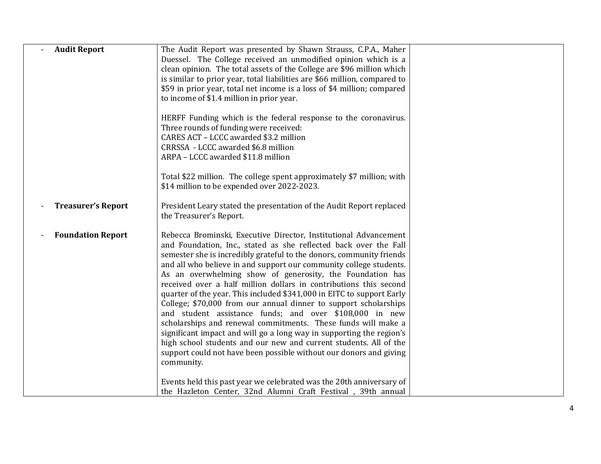| <b>Audit Report</b>       | The Audit Report was presented by Shawn Strauss, C.P.A., Maher<br>Duessel. The College received an unmodified opinion which is a<br>clean opinion. The total assets of the College are \$96 million which<br>is similar to prior year, total liabilities are \$66 million, compared to<br>\$59 in prior year, total net income is a loss of \$4 million; compared<br>to income of \$1.4 million in prior year.<br>HERFF Funding which is the federal response to the coronavirus.<br>Three rounds of funding were received:<br>CARES ACT - LCCC awarded \$3.2 million<br>CRRSSA - LCCC awarded \$6.8 million<br>ARPA - LCCC awarded \$11.8 million                                                                                                                                                                                                                                                                             |  |
|---------------------------|--------------------------------------------------------------------------------------------------------------------------------------------------------------------------------------------------------------------------------------------------------------------------------------------------------------------------------------------------------------------------------------------------------------------------------------------------------------------------------------------------------------------------------------------------------------------------------------------------------------------------------------------------------------------------------------------------------------------------------------------------------------------------------------------------------------------------------------------------------------------------------------------------------------------------------|--|
|                           | Total \$22 million. The college spent approximately \$7 million; with<br>\$14 million to be expended over 2022-2023.                                                                                                                                                                                                                                                                                                                                                                                                                                                                                                                                                                                                                                                                                                                                                                                                           |  |
| <b>Treasurer's Report</b> | President Leary stated the presentation of the Audit Report replaced<br>the Treasurer's Report.                                                                                                                                                                                                                                                                                                                                                                                                                                                                                                                                                                                                                                                                                                                                                                                                                                |  |
| <b>Foundation Report</b>  | Rebecca Brominski, Executive Director, Institutional Advancement<br>and Foundation, Inc., stated as she reflected back over the Fall<br>semester she is incredibly grateful to the donors, community friends<br>and all who believe in and support our community college students.<br>As an overwhelming show of generosity, the Foundation has<br>received over a half million dollars in contributions this second<br>quarter of the year. This included \$341,000 in EITC to support Early<br>College; \$70,000 from our annual dinner to support scholarships<br>and student assistance funds; and over \$108,000 in new<br>scholarships and renewal commitments. These funds will make a<br>significant impact and will go a long way in supporting the region's<br>high school students and our new and current students. All of the<br>support could not have been possible without our donors and giving<br>community. |  |
|                           | Events held this past year we celebrated was the 20th anniversary of<br>the Hazleton Center, 32nd Alumni Craft Festival, 39th annual                                                                                                                                                                                                                                                                                                                                                                                                                                                                                                                                                                                                                                                                                                                                                                                           |  |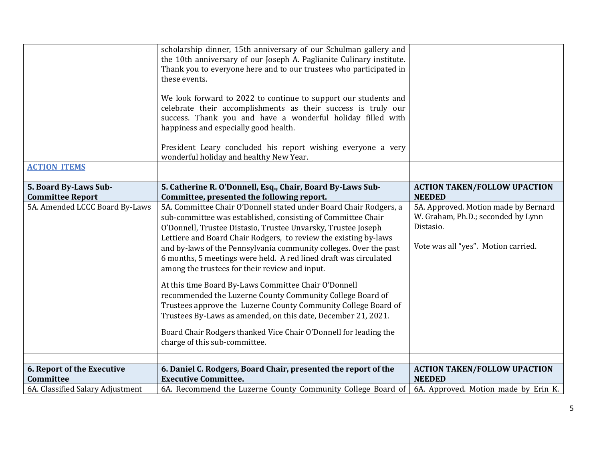|                                         | scholarship dinner, 15th anniversary of our Schulman gallery and<br>the 10th anniversary of our Joseph A. Paglianite Culinary institute.<br>Thank you to everyone here and to our trustees who participated in<br>these events.                                                                                                                                                                                                                                                                                                                                                                                                                                                                                                                                                                                                |                                                                                                                                |
|-----------------------------------------|--------------------------------------------------------------------------------------------------------------------------------------------------------------------------------------------------------------------------------------------------------------------------------------------------------------------------------------------------------------------------------------------------------------------------------------------------------------------------------------------------------------------------------------------------------------------------------------------------------------------------------------------------------------------------------------------------------------------------------------------------------------------------------------------------------------------------------|--------------------------------------------------------------------------------------------------------------------------------|
|                                         | We look forward to 2022 to continue to support our students and<br>celebrate their accomplishments as their success is truly our<br>success. Thank you and have a wonderful holiday filled with<br>happiness and especially good health.                                                                                                                                                                                                                                                                                                                                                                                                                                                                                                                                                                                       |                                                                                                                                |
|                                         | President Leary concluded his report wishing everyone a very<br>wonderful holiday and healthy New Year.                                                                                                                                                                                                                                                                                                                                                                                                                                                                                                                                                                                                                                                                                                                        |                                                                                                                                |
| <b>ACTION ITEMS</b>                     |                                                                                                                                                                                                                                                                                                                                                                                                                                                                                                                                                                                                                                                                                                                                                                                                                                |                                                                                                                                |
| 5. Board By-Laws Sub-                   | 5. Catherine R. O'Donnell, Esq., Chair, Board By-Laws Sub-                                                                                                                                                                                                                                                                                                                                                                                                                                                                                                                                                                                                                                                                                                                                                                     | <b>ACTION TAKEN/FOLLOW UPACTION</b>                                                                                            |
| <b>Committee Report</b>                 | Committee, presented the following report.                                                                                                                                                                                                                                                                                                                                                                                                                                                                                                                                                                                                                                                                                                                                                                                     | <b>NEEDED</b>                                                                                                                  |
| 5A. Amended LCCC Board By-Laws          | 5A. Committee Chair O'Donnell stated under Board Chair Rodgers, a<br>sub-committee was established, consisting of Committee Chair<br>O'Donnell, Trustee Distasio, Trustee Unvarsky, Trustee Joseph<br>Lettiere and Board Chair Rodgers, to review the existing by-laws<br>and by-laws of the Pennsylvania community colleges. Over the past<br>6 months, 5 meetings were held. A red lined draft was circulated<br>among the trustees for their review and input.<br>At this time Board By-Laws Committee Chair O'Donnell<br>recommended the Luzerne County Community College Board of<br>Trustees approve the Luzerne County Community College Board of<br>Trustees By-Laws as amended, on this date, December 21, 2021.<br>Board Chair Rodgers thanked Vice Chair O'Donnell for leading the<br>charge of this sub-committee. | 5A. Approved. Motion made by Bernard<br>W. Graham, Ph.D.; seconded by Lynn<br>Distasio.<br>Vote was all "yes". Motion carried. |
|                                         |                                                                                                                                                                                                                                                                                                                                                                                                                                                                                                                                                                                                                                                                                                                                                                                                                                |                                                                                                                                |
| 6. Report of the Executive<br>Committee | 6. Daniel C. Rodgers, Board Chair, presented the report of the<br><b>Executive Committee.</b>                                                                                                                                                                                                                                                                                                                                                                                                                                                                                                                                                                                                                                                                                                                                  | <b>ACTION TAKEN/FOLLOW UPACTION</b><br><b>NEEDED</b>                                                                           |
| 6A. Classified Salary Adjustment        | 6A. Recommend the Luzerne County Community College Board of                                                                                                                                                                                                                                                                                                                                                                                                                                                                                                                                                                                                                                                                                                                                                                    | 6A. Approved. Motion made by Erin K.                                                                                           |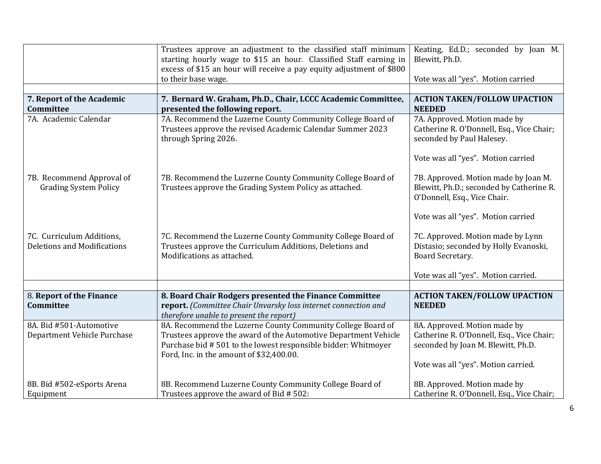|                                    | Trustees approve an adjustment to the classified staff minimum       | Keating, Ed.D.; seconded by Joan M.       |
|------------------------------------|----------------------------------------------------------------------|-------------------------------------------|
|                                    | starting hourly wage to \$15 an hour. Classified Staff earning in    | Blewitt, Ph.D.                            |
|                                    | excess of \$15 an hour will receive a pay equity adjustment of \$800 |                                           |
|                                    | to their base wage.                                                  | Vote was all "yes". Motion carried        |
|                                    |                                                                      |                                           |
| 7. Report of the Academic          | 7. Bernard W. Graham, Ph.D., Chair, LCCC Academic Committee,         | <b>ACTION TAKEN/FOLLOW UPACTION</b>       |
| Committee                          | presented the following report.                                      | <b>NEEDED</b>                             |
| 7A. Academic Calendar              | 7A. Recommend the Luzerne County Community College Board of          | 7A. Approved. Motion made by              |
|                                    | Trustees approve the revised Academic Calendar Summer 2023           | Catherine R. O'Donnell, Esq., Vice Chair; |
|                                    | through Spring 2026.                                                 | seconded by Paul Halesey.                 |
|                                    |                                                                      |                                           |
|                                    |                                                                      | Vote was all "yes". Motion carried        |
| 7B. Recommend Approval of          | 7B. Recommend the Luzerne County Community College Board of          | 7B. Approved. Motion made by Joan M.      |
| <b>Grading System Policy</b>       | Trustees approve the Grading System Policy as attached.              | Blewitt, Ph.D.; seconded by Catherine R.  |
|                                    |                                                                      | O'Donnell, Esq., Vice Chair.              |
|                                    |                                                                      |                                           |
|                                    |                                                                      | Vote was all "yes". Motion carried        |
|                                    |                                                                      |                                           |
| 7C. Curriculum Additions,          | 7C. Recommend the Luzerne County Community College Board of          | 7C. Approved. Motion made by Lynn         |
| <b>Deletions and Modifications</b> | Trustees approve the Curriculum Additions, Deletions and             | Distasio; seconded by Holly Evanoski,     |
|                                    | Modifications as attached.                                           | Board Secretary.                          |
|                                    |                                                                      | Vote was all "yes". Motion carried.       |
|                                    |                                                                      |                                           |
| 8. Report of the Finance           | 8. Board Chair Rodgers presented the Finance Committee               | <b>ACTION TAKEN/FOLLOW UPACTION</b>       |
| <b>Committee</b>                   | report. (Committee Chair Unvarsky loss internet connection and       | <b>NEEDED</b>                             |
|                                    | therefore unable to present the report)                              |                                           |
| 8A. Bid #501-Automotive            | 8A. Recommend the Luzerne County Community College Board of          | 8A. Approved. Motion made by              |
| Department Vehicle Purchase        | Trustees approve the award of the Automotive Department Vehicle      | Catherine R. O'Donnell, Esq., Vice Chair; |
|                                    | Purchase bid #501 to the lowest responsible bidder: Whitmoyer        | seconded by Joan M. Blewitt, Ph.D.        |
|                                    | Ford, Inc. in the amount of \$32,400.00.                             |                                           |
|                                    |                                                                      | Vote was all "yes". Motion carried.       |
|                                    |                                                                      |                                           |
| 8B. Bid #502-eSports Arena         | 8B. Recommend Luzerne County Community College Board of              | 8B. Approved. Motion made by              |
| Equipment                          | Trustees approve the award of Bid # 502:                             | Catherine R. O'Donnell, Esq., Vice Chair; |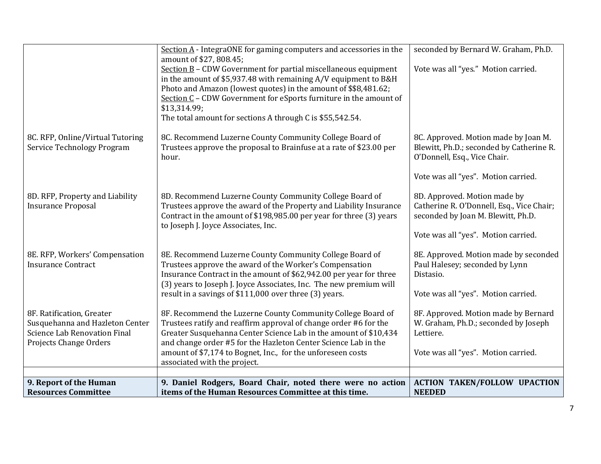|                                                                                                                               | Section $\underline{A}$ - IntegraONE for gaming computers and accessories in the                                                                                                                                                                                                                                                                                                                | seconded by Bernard W. Graham, Ph.D.                                                                             |
|-------------------------------------------------------------------------------------------------------------------------------|-------------------------------------------------------------------------------------------------------------------------------------------------------------------------------------------------------------------------------------------------------------------------------------------------------------------------------------------------------------------------------------------------|------------------------------------------------------------------------------------------------------------------|
|                                                                                                                               | amount of \$27, 808.45;<br>Section $\underline{B}$ – CDW Government for partial miscellaneous equipment<br>in the amount of \$5,937.48 with remaining A/V equipment to B&H<br>Photo and Amazon (lowest quotes) in the amount of \$\$8,481.62;<br>Section C - CDW Government for eSports furniture in the amount of<br>\$13,314.99;<br>The total amount for sections A through C is \$55,542.54. | Vote was all "yes." Motion carried.                                                                              |
| 8C. RFP, Online/Virtual Tutoring<br>Service Technology Program                                                                | 8C. Recommend Luzerne County Community College Board of<br>Trustees approve the proposal to Brainfuse at a rate of \$23.00 per<br>hour.                                                                                                                                                                                                                                                         | 8C. Approved. Motion made by Joan M.<br>Blewitt, Ph.D.; seconded by Catherine R.<br>O'Donnell, Esq., Vice Chair. |
|                                                                                                                               |                                                                                                                                                                                                                                                                                                                                                                                                 | Vote was all "yes". Motion carried.                                                                              |
| 8D. RFP, Property and Liability<br><b>Insurance Proposal</b>                                                                  | 8D. Recommend Luzerne County Community College Board of<br>Trustees approve the award of the Property and Liability Insurance<br>Contract in the amount of \$198,985.00 per year for three (3) years<br>to Joseph J. Joyce Associates, Inc.                                                                                                                                                     | 8D. Approved. Motion made by<br>Catherine R. O'Donnell, Esq., Vice Chair;<br>seconded by Joan M. Blewitt, Ph.D.  |
|                                                                                                                               |                                                                                                                                                                                                                                                                                                                                                                                                 | Vote was all "yes". Motion carried.                                                                              |
| 8E. RFP, Workers' Compensation<br><b>Insurance Contract</b>                                                                   | 8E. Recommend Luzerne County Community College Board of<br>Trustees approve the award of the Worker's Compensation<br>Insurance Contract in the amount of \$62,942.00 per year for three<br>(3) years to Joseph J. Joyce Associates, Inc. The new premium will                                                                                                                                  | 8E. Approved. Motion made by seconded<br>Paul Halesey; seconded by Lynn<br>Distasio.                             |
|                                                                                                                               | result in a savings of \$111,000 over three (3) years.                                                                                                                                                                                                                                                                                                                                          | Vote was all "yes". Motion carried.                                                                              |
| 8F. Ratification, Greater<br>Susquehanna and Hazleton Center<br><b>Science Lab Renovation Final</b><br>Projects Change Orders | 8F. Recommend the Luzerne County Community College Board of<br>Trustees ratify and reaffirm approval of change order #6 for the<br>Greater Susquehanna Center Science Lab in the amount of \$10,434<br>and change order #5 for the Hazleton Center Science Lab in the                                                                                                                           | 8F. Approved. Motion made by Bernard<br>W. Graham, Ph.D.; seconded by Joseph<br>Lettiere.                        |
|                                                                                                                               | amount of \$7,174 to Bognet, Inc., for the unforeseen costs<br>associated with the project.                                                                                                                                                                                                                                                                                                     | Vote was all "yes". Motion carried.                                                                              |
|                                                                                                                               |                                                                                                                                                                                                                                                                                                                                                                                                 |                                                                                                                  |
| 9. Report of the Human                                                                                                        | 9. Daniel Rodgers, Board Chair, noted there were no action                                                                                                                                                                                                                                                                                                                                      | <b>ACTION TAKEN/FOLLOW UPACTION</b>                                                                              |
| <b>Resources Committee</b>                                                                                                    | items of the Human Resources Committee at this time.                                                                                                                                                                                                                                                                                                                                            | <b>NEEDED</b>                                                                                                    |